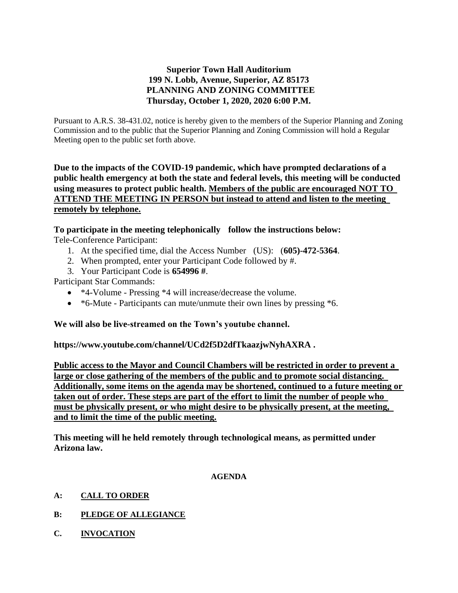# **Superior Town Hall Auditorium 199 N. Lobb, Avenue, Superior, AZ 85173 PLANNING AND ZONING COMMITTEE Thursday, October 1, 2020, 2020 6:00 P.M.**

Pursuant to A.R.S. 38-431.02, notice is hereby given to the members of the Superior Planning and Zoning Commission and to the public that the Superior Planning and Zoning Commission will hold a Regular Meeting open to the public set forth above.

**Due to the impacts of the COVID-19 pandemic, which have prompted declarations of a public health emergency at both the state and federal levels, this meeting will be conducted using measures to protect public health. Members of the public are encouraged NOT TO ATTEND THE MEETING IN PERSON but instead to attend and listen to the meeting remotely by telephone.**

## **To participate in the meeting telephonically follow the instructions below:**

Tele-Conference Participant:

- 1. At the specified time, dial the Access Number (US): (**605)-472-5364**.
- 2. When prompted, enter your Participant Code followed by #.
- 3. Your Participant Code is **654996 #**.

Participant Star Commands:

- \*4-Volume Pressing \*4 will increase/decrease the volume.
- \*6-Mute Participants can mute/unmute their own lines by pressing \*6.

## **We will also be live-streamed on the Town's youtube channel.**

**https://www.youtube.com/channel/UCd2f5D2dfTkaazjwNyhAXRA .** 

**Public access to the Mayor and Council Chambers will be restricted in order to prevent a large or close gathering of the members of the public and to promote social distancing. Additionally, some items on the agenda may be shortened, continued to a future meeting or taken out of order. These steps are part of the effort to limit the number of people who must be physically present, or who might desire to be physically present, at the meeting, and to limit the time of the public meeting.**

**This meeting will he held remotely through technological means, as permitted under Arizona law.**

#### **AGENDA**

- **A: CALL TO ORDER**
- **B: PLEDGE OF ALLEGIANCE**
- **C. INVOCATION**